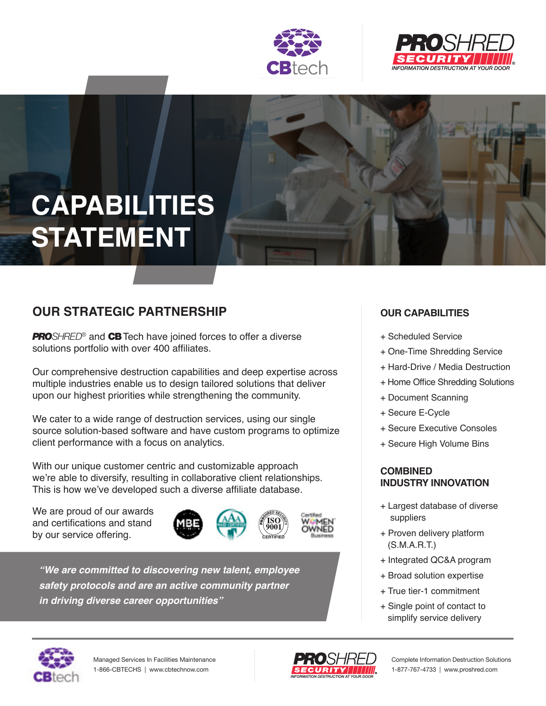



# **CAPABILITIES STATEMENT**

## **OUR STRATEGIC PARTNERSHIP**

*PROSHRED®* and CB Tech have joined forces to offer a diverse solutions portfolio with over 400 affiliates.

Our comprehensive destruction capabilities and deep expertise across multiple industries enable us to design tailored solutions that deliver upon our highest priorities while strengthening the community.

We cater to a wide range of destruction services, using our single source solution-based software and have custom programs to optimize client performance with a focus on analytics.

With our unique customer centric and customizable approach we're able to diversify, resulting in collaborative client relationships. This is how we've developed such a diverse affiliate database.

We are proud of our awards and certifications and stand by our service offering.





**"We are committed to discovering new talent, employee safety protocols and are an active community partner in driving diverse career opportunities"**

### **OUR CAPABILITIES**

- + Scheduled Service
- + One-Time Shredding Service
- + Hard-Drive / Media Destruction
- + Home Office Shredding Solutions
- + Document Scanning
- + Secure E-Cycle
- + Secure Executive Consoles
- + Secure High Volume Bins

#### **COMBINED INDUSTRY INNOVATION**

- + Largest database of diverse suppliers
- + Proven delivery platform (S.M.A.R.T.)
- + Integrated QC&A program
- + Broad solution expertise
- + True tier-1 commitment
- + Single point of contact to simplify service delivery





Complete Information Destruction Solutions 1-877-767-4733 | www.proshred.com